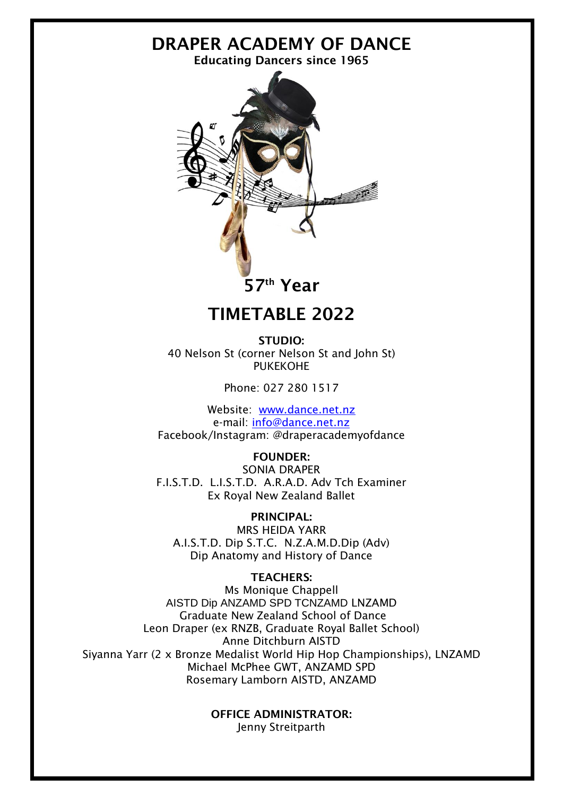# DRAPER ACADEMY OF DANCE

Educating Dancers since 1965



## TIMETABLE 2022

STUDIO: 40 Nelson St (corner Nelson St and John St) PUKEKOHE

Phone: 027 280 1517

Website: [www.dance.net.nz](http://www.dance.net.nz/) e-mail: [info@dance.net.nz](mailto:info@dance.net.nz) Facebook/Instagram: @draperacademyofdance

FOUNDER: SONIA DRAPER F.I.S.T.D. L.I.S.T.D. A.R.A.D. Adv Tch Examiner Ex Royal New Zealand Ballet

PRINCIPAL: MRS HEIDA YARR A.I.S.T.D. Dip S.T.C. N.Z.A.M.D.Dip (Adv) Dip Anatomy and History of Dance

#### TEACHERS:

Ms Monique Chappell AISTD Dip ANZAMD SPD TCNZAMD LNZAMD Graduate New Zealand School of Dance Leon Draper (ex RNZB, Graduate Royal Ballet School) Anne Ditchburn AISTD Siyanna Yarr (2 x Bronze Medalist World Hip Hop Championships), LNZAMD Michael McPhee GWT, ANZAMD SPD Rosemary Lamborn AISTD, ANZAMD

> OFFICE ADMINISTRATOR: Jenny Streitparth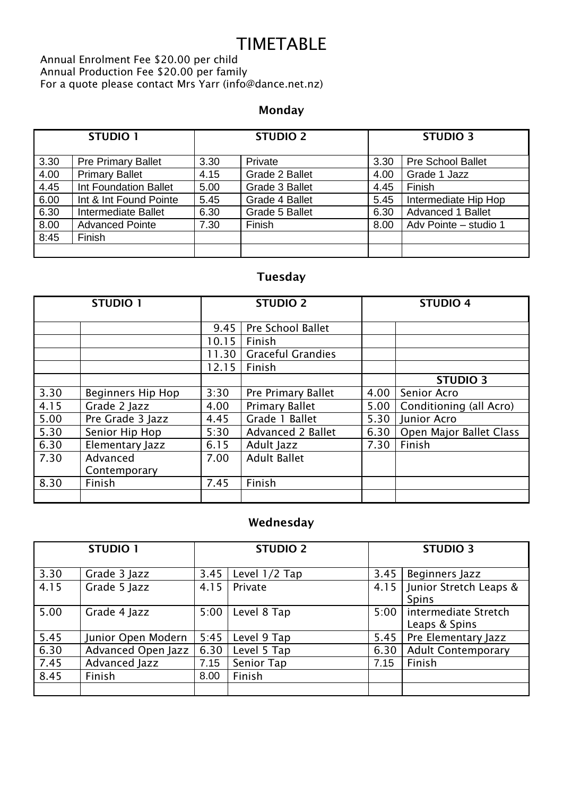# **TIMETABLE**

Annual Enrolment Fee \$20.00 per child Annual Production Fee \$20.00 per family For a quote please contact Mrs Yarr (info@dance.net.nz)

### Monday

| <b>STUDIO 1</b> |                           | <b>STUDIO 2</b> |                | <b>STUDIO 3</b> |                          |
|-----------------|---------------------------|-----------------|----------------|-----------------|--------------------------|
| 3.30            | <b>Pre Primary Ballet</b> | 3.30            | Private        | 3.30            | <b>Pre School Ballet</b> |
| 4.00            | <b>Primary Ballet</b>     | 4.15            | Grade 2 Ballet | 4.00            | Grade 1 Jazz             |
| 4.45            | Int Foundation Ballet     | 5.00            | Grade 3 Ballet | 4.45            | Finish                   |
| 6.00            | Int & Int Found Pointe    | 5.45            | Grade 4 Ballet | 5.45            | Intermediate Hip Hop     |
| 6.30            | Intermediate Ballet       | 6.30            | Grade 5 Ballet | 6.30            | <b>Advanced 1 Ballet</b> |
| 8.00            | <b>Advanced Pointe</b>    | 7.30            | Finish         | 8.00            | Adv Pointe - studio 1    |
| 8:45            | Finish                    |                 |                |                 |                          |
|                 |                           |                 |                |                 |                          |

### Tuesday

| <b>STUDIO 1</b> |                          | <b>STUDIO 2</b> |                          | <b>STUDIO 4</b> |                         |
|-----------------|--------------------------|-----------------|--------------------------|-----------------|-------------------------|
|                 |                          | 9.45            | Pre School Ballet        |                 |                         |
|                 |                          | 10.15           | Finish                   |                 |                         |
|                 |                          | 11.30           | <b>Graceful Grandies</b> |                 |                         |
|                 |                          | 12.15           | Finish                   |                 |                         |
|                 |                          |                 |                          |                 | <b>STUDIO 3</b>         |
| 3.30            | <b>Beginners Hip Hop</b> | 3:30            | Pre Primary Ballet       | 4.00            | Senior Acro             |
| 4.15            | Grade 2 Jazz             | 4.00            | <b>Primary Ballet</b>    | 5.00            | Conditioning (all Acro) |
| 5.00            | Pre Grade 3 Jazz         | 4.45            | Grade 1 Ballet           | 5.30            | Junior Acro             |
| 5.30            | Senior Hip Hop           | 5:30            | Advanced 2 Ballet        | 6.30            | Open Major Ballet Class |
| 6.30            | Elementary Jazz          | 6.15            | Adult Jazz               | 7.30            | Finish                  |
| 7.30            | Advanced                 | 7.00            | <b>Adult Ballet</b>      |                 |                         |
|                 | Contemporary             |                 |                          |                 |                         |
| 8.30            | Finish                   | 7.45            | Finish                   |                 |                         |
|                 |                          |                 |                          |                 |                         |

### Wednesday

| <b>STUDIO 1</b> |                    | <b>STUDIO 2</b> |               | <b>STUDIO 3</b> |                           |
|-----------------|--------------------|-----------------|---------------|-----------------|---------------------------|
|                 |                    |                 |               |                 |                           |
| 3.30            | Grade 3 Jazz       | 3.45            | Level 1/2 Tap | 3.45            | Beginners Jazz            |
| 4.15            | Grade 5 Jazz       | 4.15            | Private       | 4.15            | Junior Stretch Leaps &    |
|                 |                    |                 |               |                 | <b>Spins</b>              |
| 5.00            | Grade 4 Jazz       | 5:00            | Level 8 Tap   | 5:00            | intermediate Stretch      |
|                 |                    |                 |               |                 | Leaps & Spins             |
| 5.45            | Junior Open Modern | 5:45            | Level 9 Tap   | 5.45            | Pre Elementary Jazz       |
| 6.30            | Advanced Open Jazz | 6.30            | Level 5 Tap   | 6.30            | <b>Adult Contemporary</b> |
| 7.45            | Advanced Jazz      | 7.15            | Senior Tap    | 7.15            | Finish                    |
| 8.45            | Finish             | 8.00            | Finish        |                 |                           |
|                 |                    |                 |               |                 |                           |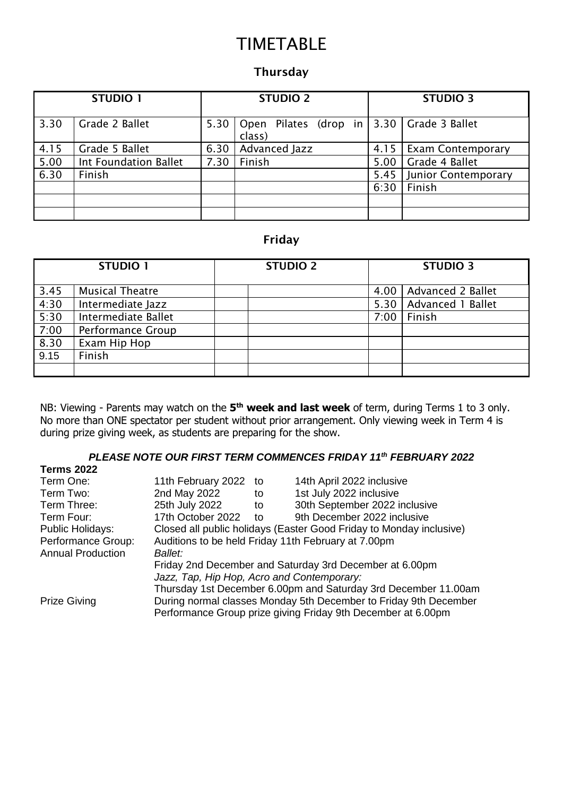# TIMETABLE

#### Thursday

| <b>STUDIO 1</b> |                       |      | <b>STUDIO 2</b>                                         | <b>STUDIO 3</b> |                          |
|-----------------|-----------------------|------|---------------------------------------------------------|-----------------|--------------------------|
| 3.30            | Grade 2 Ballet        | 5.30 | Open Pilates (drop in   3.30   Grade 3 Ballet<br>class) |                 |                          |
| 4.15            | Grade 5 Ballet        | 6.30 | Advanced Jazz                                           | 4.15            | <b>Exam Contemporary</b> |
| 5.00            | Int Foundation Ballet | 7.30 | Finish                                                  | 5.00            | Grade 4 Ballet           |
| 6.30            | Finish                |      |                                                         | 5.45            | Junior Contemporary      |
|                 |                       |      |                                                         | 6:30            | Finish                   |
|                 |                       |      |                                                         |                 |                          |
|                 |                       |      |                                                         |                 |                          |

#### Friday

|                     | <b>STUDIO 1</b>        | <b>STUDIO 2</b> |      | <b>STUDIO 3</b>   |
|---------------------|------------------------|-----------------|------|-------------------|
| 3.45                | <b>Musical Theatre</b> |                 | 4.00 | Advanced 2 Ballet |
| 4:30                | Intermediate Jazz      |                 | 5.30 | Advanced 1 Ballet |
| $\frac{1150}{5:30}$ | Intermediate Ballet    |                 | 7:00 | Finish            |
| 7:00                | Performance Group      |                 |      |                   |
| $\frac{8.30}{9.15}$ | Exam Hip Hop           |                 |      |                   |
|                     | Finish                 |                 |      |                   |
|                     |                        |                 |      |                   |

NB: Viewing - Parents may watch on the **5 th week and last week** of term, during Terms 1 to 3 only. No more than ONE spectator per student without prior arrangement. Only viewing week in Term 4 is during prize giving week, as students are preparing for the show.

#### *PLEASE NOTE OUR FIRST TERM COMMENCES FRIDAY 11th FEBRUARY 2022*

| <b>Terms 2022</b>                                                                       |                                                                  |                                                         |                                                                |  |  |  |
|-----------------------------------------------------------------------------------------|------------------------------------------------------------------|---------------------------------------------------------|----------------------------------------------------------------|--|--|--|
| Term One:                                                                               | 11th February 2022                                               | ി to                                                    | 14th April 2022 inclusive                                      |  |  |  |
| Term Two:                                                                               | 2nd May 2022                                                     | to                                                      | 1st July 2022 inclusive                                        |  |  |  |
| Term Three:                                                                             | 25th July 2022                                                   | to                                                      | 30th September 2022 inclusive                                  |  |  |  |
| Term Four:                                                                              | 17th October 2022                                                | to                                                      | 9th December 2022 inclusive                                    |  |  |  |
| Public Holidays:<br>Closed all public holidays (Easter Good Friday to Monday inclusive) |                                                                  |                                                         |                                                                |  |  |  |
| Performance Group:                                                                      | Auditions to be held Friday 11th February at 7.00pm              |                                                         |                                                                |  |  |  |
| <b>Annual Production</b>                                                                | <b>Ballet:</b>                                                   |                                                         |                                                                |  |  |  |
|                                                                                         |                                                                  | Friday 2nd December and Saturday 3rd December at 6.00pm |                                                                |  |  |  |
|                                                                                         | Jazz, Tap, Hip Hop, Acro and Contemporary:                       |                                                         |                                                                |  |  |  |
|                                                                                         |                                                                  |                                                         | Thursday 1st December 6.00pm and Saturday 3rd December 11.00am |  |  |  |
| <b>Prize Giving</b>                                                                     | During normal classes Monday 5th December to Friday 9th December |                                                         |                                                                |  |  |  |
|                                                                                         | Performance Group prize giving Friday 9th December at 6.00pm     |                                                         |                                                                |  |  |  |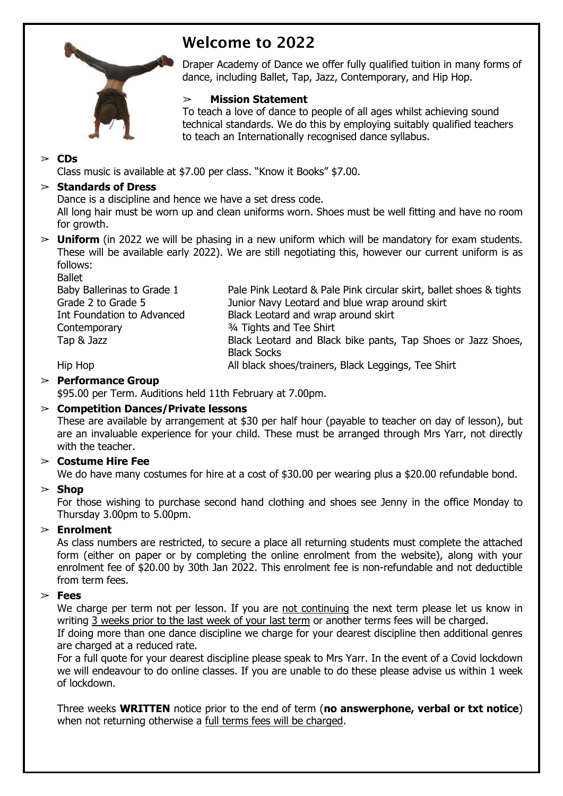

## Welcome to 2022

Draper Academy of Dance we offer fully qualified tuition in many forms of dance, including Ballet, Tap, Jazz, Contemporary, and Hip Hop.

#### ➢ **Mission Statement**

To teach a love of dance to people of all ages whilst achieving sound technical standards. We do this by employing suitably qualified teachers to teach an Internationally recognised dance syllabus.

#### ➢ **CDs**

Class music is available at \$7.00 per class. "Know it Books" \$7.00.

#### ➢ **Standards of Dress**

Dance is a discipline and hence we have a set dress code.

All long hair must be worn up and clean uniforms worn. Shoes must be well fitting and have no room for growth.

➢ **Uniform** (in 2022 we will be phasing in a new uniform which will be mandatory for exam students. These will be available early 2022). We are still negotiating this, however our current uniform is as follows:

Ballet

| Baby Ballerinas to Grade 1<br>Grade 2 to Grade 5 | Pale Pink Leotard & Pale Pink circular skirt, ballet shoes & tights<br>Junior Navy Leotard and blue wrap around skirt |
|--------------------------------------------------|-----------------------------------------------------------------------------------------------------------------------|
| Int Foundation to Advanced                       | Black Leotard and wrap around skirt                                                                                   |
| Contemporary                                     | <sup>3/4</sup> Tights and Tee Shirt                                                                                   |
| Tap & Jazz                                       | Black Leotard and Black bike pants, Tap Shoes or Jazz Shoes,<br><b>Black Socks</b>                                    |
| Hip Hop                                          | All black shoes/trainers, Black Leggings, Tee Shirt                                                                   |

#### ➢ **Performance Group**

\$95.00 per Term. Auditions held 11th February at 7.00pm.

#### ➢ **Competition Dances/Private lessons**

These are available by arrangement at \$30 per half hour (payable to teacher on day of lesson), but are an invaluable experience for your child. These must be arranged through Mrs Yarr, not directly with the teacher.

#### ➢ **Costume Hire Fee**

We do have many costumes for hire at a cost of \$30.00 per wearing plus a \$20.00 refundable bond.

#### ➢ **Shop**

For those wishing to purchase second hand clothing and shoes see Jenny in the office Monday to Thursday 3.00pm to 5.00pm.

#### ➢ **Enrolment**

As class numbers are restricted, to secure a place all returning students must complete the attached form (either on paper or by completing the online enrolment from the website), along with your enrolment fee of \$20.00 by 30th Jan 2022. This enrolment fee is non-refundable and not deductible from term fees.

#### ➢ **Fees**

We charge per term not per lesson. If you are not continuing the next term please let us know in writing 3 weeks prior to the last week of your last term or another terms fees will be charged.

If doing more than one dance discipline we charge for your dearest discipline then additional genres are charged at a reduced rate.

For a full quote for your dearest discipline please speak to Mrs Yarr. In the event of a Covid lockdown we will endeavour to do online classes. If you are unable to do these please advise us within 1 week of lockdown.

Three weeks **WRITTEN** notice prior to the end of term (**no answerphone, verbal or txt notice**) when not returning otherwise a full terms fees will be charged.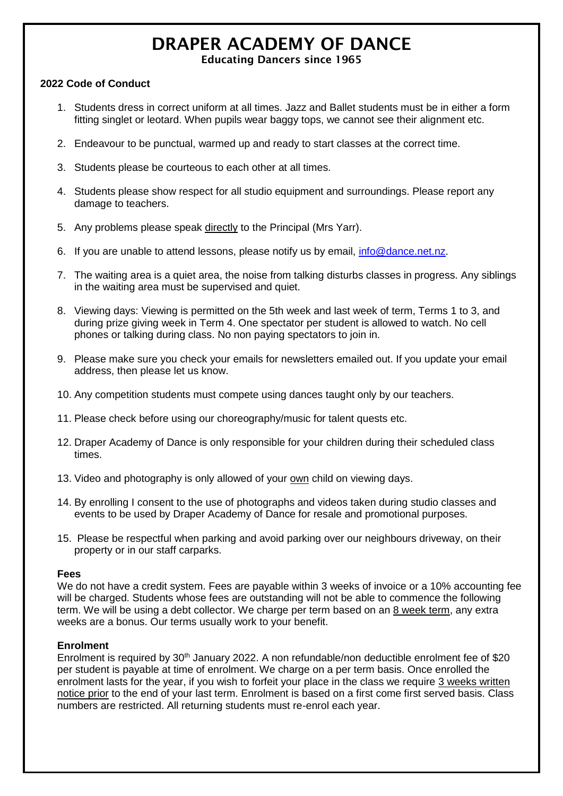# DRAPER ACADEMY OF DANCE

#### Educating Dancers since 1965

#### **2022 Code of Conduct**

- 1. Students dress in correct uniform at all times. Jazz and Ballet students must be in either a form fitting singlet or leotard. When pupils wear baggy tops, we cannot see their alignment etc.
- 2. Endeavour to be punctual, warmed up and ready to start classes at the correct time.
- 3. Students please be courteous to each other at all times.
- 4. Students please show respect for all studio equipment and surroundings. Please report any damage to teachers.
- 5. Any problems please speak directly to the Principal (Mrs Yarr).
- 6. If you are unable to attend lessons, please notify us by email, [info@dance.net.nz.](mailto:info@dance.net.nz)
- 7. The waiting area is a quiet area, the noise from talking disturbs classes in progress. Any siblings in the waiting area must be supervised and quiet.
- 8. Viewing days: Viewing is permitted on the 5th week and last week of term, Terms 1 to 3, and during prize giving week in Term 4. One spectator per student is allowed to watch. No cell phones or talking during class. No non paying spectators to join in.
- 9. Please make sure you check your emails for newsletters emailed out. If you update your email address, then please let us know.
- 10. Any competition students must compete using dances taught only by our teachers.
- 11. Please check before using our choreography/music for talent quests etc.
- 12. Draper Academy of Dance is only responsible for your children during their scheduled class times.
- 13. Video and photography is only allowed of your own child on viewing days.
- 14. By enrolling I consent to the use of photographs and videos taken during studio classes and events to be used by Draper Academy of Dance for resale and promotional purposes.
- 15. Please be respectful when parking and avoid parking over our neighbours driveway, on their property or in our staff carparks.

#### **Fees**

We do not have a credit system. Fees are payable within 3 weeks of invoice or a 10% accounting fee will be charged. Students whose fees are outstanding will not be able to commence the following term. We will be using a debt collector. We charge per term based on an 8 week term, any extra weeks are a bonus. Our terms usually work to your benefit.

#### **Enrolment**

Enrolment is required by 30<sup>th</sup> January 2022. A non refundable/non deductible enrolment fee of \$20 per student is payable at time of enrolment. We charge on a per term basis. Once enrolled the enrolment lasts for the year, if you wish to forfeit your place in the class we require 3 weeks written notice prior to the end of your last term. Enrolment is based on a first come first served basis. Class numbers are restricted. All returning students must re-enrol each year.